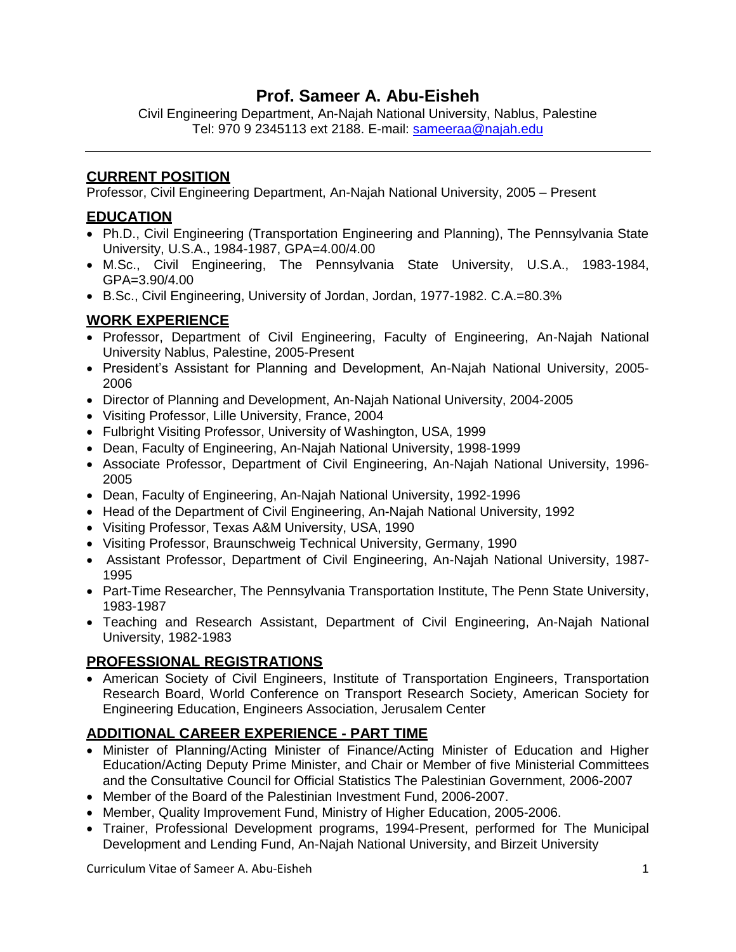# **Prof. Sameer A. Abu-Eisheh**

Civil Engineering Department, An-Najah National University, Nablus, Palestine Tel: 970 9 2345113 ext 2188. E-mail: [sameeraa@najah.edu](mailto:sameeraa@najah.edu)

### **CURRENT POSITION**

Professor, Civil Engineering Department, An-Najah National University, 2005 – Present

# **EDUCATION**

- Ph.D., Civil Engineering (Transportation Engineering and Planning), The Pennsylvania State University, U.S.A., 1984-1987, GPA=4.00/4.00
- M.Sc., Civil Engineering, The Pennsylvania State University, U.S.A., 1983-1984, GPA=3.90/4.00
- B.Sc., Civil Engineering, University of Jordan, Jordan, 1977-1982. C.A.=80.3%

# **WORK EXPERIENCE**

- Professor, Department of Civil Engineering, Faculty of Engineering, An-Najah National University Nablus, Palestine, 2005-Present
- President's Assistant for Planning and Development, An-Najah National University, 2005-2006
- Director of Planning and Development, An-Najah National University, 2004-2005
- Visiting Professor, Lille University, France, 2004
- Fulbright Visiting Professor, University of Washington, USA, 1999
- Dean, Faculty of Engineering, An-Najah National University, 1998-1999
- Associate Professor, Department of Civil Engineering, An-Najah National University, 1996- 2005
- Dean, Faculty of Engineering, An-Najah National University, 1992-1996
- Head of the Department of Civil Engineering, An-Najah National University, 1992
- Visiting Professor, Texas A&M University, USA, 1990
- Visiting Professor, Braunschweig Technical University, Germany, 1990
- Assistant Professor, Department of Civil Engineering, An-Najah National University, 1987- 1995
- Part-Time Researcher, The Pennsylvania Transportation Institute, The Penn State University, 1983-1987
- Teaching and Research Assistant, Department of Civil Engineering, An-Najah National University, 1982-1983

### **PROFESSIONAL REGISTRATIONS**

 American Society of Civil Engineers, Institute of Transportation Engineers, Transportation Research Board, World Conference on Transport Research Society, American Society for Engineering Education, Engineers Association, Jerusalem Center

# **ADDITIONAL CAREER EXPERIENCE - PART TIME**

- Minister of Planning/Acting Minister of Finance/Acting Minister of Education and Higher Education/Acting Deputy Prime Minister, and Chair or Member of five Ministerial Committees and the Consultative Council for Official Statistics The Palestinian Government, 2006-2007
- Member of the Board of the Palestinian Investment Fund, 2006-2007.
- Member, Quality Improvement Fund, Ministry of Higher Education, 2005-2006.
- Trainer, Professional Development programs, 1994-Present, performed for The Municipal Development and Lending Fund, An-Najah National University, and Birzeit University

Curriculum Vitae of Sameer A. Abu-Eisheh 1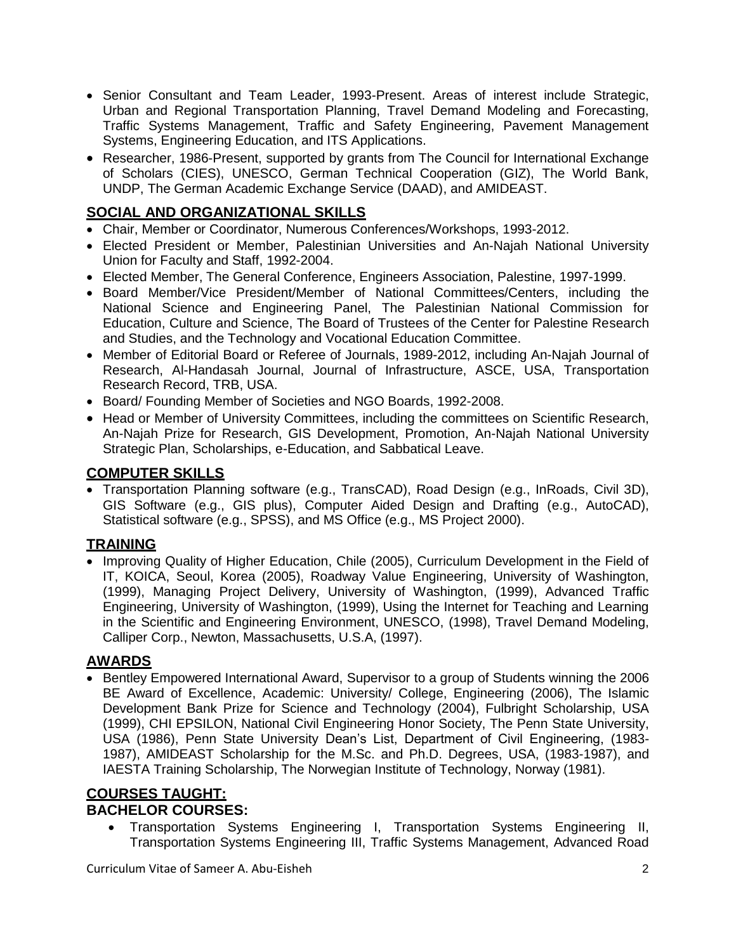- Senior Consultant and Team Leader, 1993-Present. Areas of interest include Strategic, Urban and Regional Transportation Planning, Travel Demand Modeling and Forecasting, Traffic Systems Management, Traffic and Safety Engineering, Pavement Management Systems, Engineering Education, and ITS Applications.
- Researcher, 1986-Present, supported by grants from The Council for International Exchange of Scholars (CIES), UNESCO, German Technical Cooperation (GIZ), The World Bank, UNDP, [The German Academic Exchange Service \(DAAD\),](http://www.google.ps/url?sa=t&rct=j&q=DAAD&source=web&cd=1&cad=rja&ved=0CB0QFjAA&url=http%3A%2F%2Fwww.daad.org%2F&ei=qamGUJSxNOOp0QXMloCYBQ&usg=AFQjCNHEDc5APlKS5V84PjIQiVj34VtUdw) and AMIDEAST.

# **SOCIAL AND ORGANIZATIONAL SKILLS**

- Chair, Member or Coordinator, Numerous Conferences/Workshops, 1993-2012.
- Elected President or Member, Palestinian Universities and An-Najah National University Union for Faculty and Staff, 1992-2004.
- Elected Member, The General Conference, Engineers Association, Palestine, 1997-1999.
- Board Member/Vice President/Member of National Committees/Centers, including the National Science and Engineering Panel, The Palestinian National Commission for Education, Culture and Science, The Board of Trustees of the Center for Palestine Research and Studies, and the Technology and Vocational Education Committee.
- Member of Editorial Board or Referee of Journals, 1989-2012, including An-Najah Journal of Research, Al-Handasah Journal, Journal of Infrastructure, ASCE, USA, Transportation Research Record, TRB, USA.
- Board/ Founding Member of Societies and NGO Boards, 1992-2008.
- Head or Member of University Committees, including the committees on Scientific Research, An-Najah Prize for Research, GIS Development, Promotion, An-Najah National University Strategic Plan, Scholarships, e-Education, and Sabbatical Leave.

#### **COMPUTER SKILLS**

 Transportation Planning software (e.g., TransCAD), Road Design (e.g., InRoads, Civil 3D), GIS Software (e.g., GIS plus), Computer Aided Design and Drafting (e.g., AutoCAD), Statistical software (e.g., SPSS), and MS Office (e.g., MS Project 2000).

# **TRAINING**

• Improving Quality of Higher Education, Chile (2005), Curriculum Development in the Field of IT, KOICA, Seoul, Korea (2005), Roadway Value Engineering, University of Washington, (1999), Managing Project Delivery, University of Washington, (1999), Advanced Traffic Engineering, University of Washington, (1999), Using the Internet for Teaching and Learning in the Scientific and Engineering Environment, UNESCO, (1998), Travel Demand Modeling, Calliper Corp., Newton, Massachusetts, U.S.A, (1997).

### **AWARDS**

• Bentley Empowered International Award, Supervisor to a group of Students winning the 2006 BE Award of Excellence, Academic: University/ College, Engineering (2006), The Islamic Development Bank Prize for Science and Technology (2004), Fulbright Scholarship, USA (1999), CHI EPSILON, National Civil Engineering Honor Society, The Penn State University, USA (1986), Penn State University Dean's List, Department of Civil Engineering, (1983- 1987), AMIDEAST Scholarship for the M.Sc. and Ph.D. Degrees, USA, (1983-1987), and IAESTA Training Scholarship, The Norwegian Institute of Technology, Norway (1981).

#### **COURSES TAUGHT: BACHELOR COURSES:**

 Transportation Systems Engineering I, Transportation Systems Engineering II, Transportation Systems Engineering III, Traffic Systems Management, Advanced Road